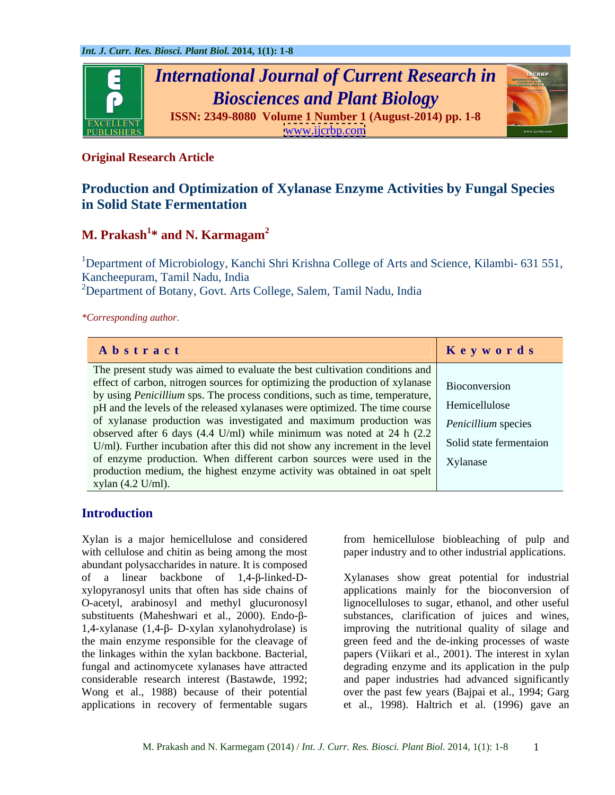

## **Original Research Article**

## **Production and Optimization of Xylanase Enzyme Activities by Fungal Species in Solid State Fermentation**

### M. Prakash<sup>1\*</sup> and N. Karmagam<sup>2</sup> **\* and N. Karmagam<sup>2</sup>**

<sup>1</sup>Department of Microbiology, Kanchi Shri Krishna College of Arts and Science, Kilambi- 631 551, Kancheepuram, Tamil Nadu, India

<sup>2</sup>Department of Botany, Govt. Arts College, Salem, Tamil Nadu, India

*\*Corresponding author.*

| Abstract                                                                                                                                                                                 | Keywords |
|------------------------------------------------------------------------------------------------------------------------------------------------------------------------------------------|----------|
| The present study was aimed to evaluate the best cultivation conditions and                                                                                                              |          |
| effect of carbon, nitrogen sources for optimizing the production of xylanase Bioconversion                                                                                               |          |
| by using <i>Penicillium</i> sps. The process conditions, such as time, temperature,<br>pH and the levels of the released xylanases were optimized. The time course   Hemicellulose       |          |
| of xylanase production was investigated and maximum production was   Penicillium species                                                                                                 |          |
| observed after 6 days (4.4 U/ml) while minimum was noted at 24 h $(2.2)$<br>U/ml). Further incubation after this did not show any increment in the level $\vert$ Solid state fermentaion |          |
| of enzyme production. When different carbon sources were used in the Xylanase                                                                                                            |          |
| production medium, the highest enzyme activity was obtained in oat spelt<br>xylan $(4.2 \text{ U/ml})$ .                                                                                 |          |

## **Introduction**

Xylan is a major hemicellulose and considered from hemicellulose biobleaching of pulp and with cellulose and chitin as being among the most abundant polysaccharides in nature. It is composed of a linear backbone of 1,4-β-linked-D-<br>Xylanases show great potential for industrial xylopyranosyl units that often has side chains of applications mainly for the bioconversion of O-acetyl, arabinosyl and methyl glucuronosyl lignocelluloses to sugar, ethanol, and other useful substituents (Maheshwari et al., 2000). Endo-β-<br>substances, clarification of juices and wines,  $1,4$ -xylanase  $(1,4-\beta)$ - D-xylan xylanohydrolase) is improving the nutritional quality of silage and the main enzyme responsible for the cleavage of green feed and the de-inking processes of waste the linkages within the xylan backbone. Bacterial, papers (Viikari et al., 2001). The interest in xylan fungal and actinomycete xylanases have attracted degrading enzyme and its application in the pulp considerable research interest (Bastawde, 1992; and paper industries had advanced significantly Wong et al., 1988) because of their potential over the past few years (Bajpai et al., 1994; Garg applications in recovery of fermentable sugars

paper industry and to other industrial applications.

et al., 1998). Haltrich et al. (1996) gave an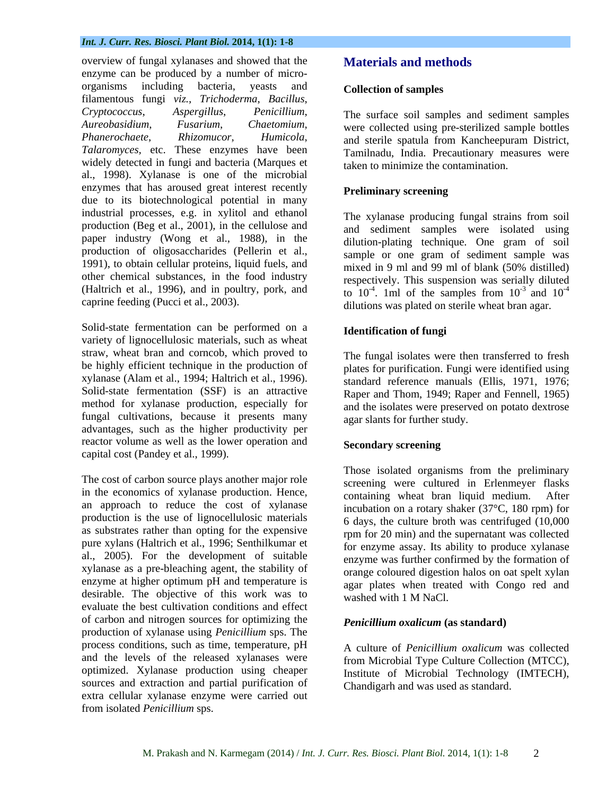overview of fungal xylanases and showed that the enzyme can be produced by a number of micro organisms including bacteria, yeasts and **Collection of samples** filamentous fungi *viz., Trichoderma*, *Bacillus*, *Cryptococcus*, *Aspergillus*, *Penicillium*, *Aureobasidium*, *Fusarium*, *Chaetomium*, *Phanerochaete*, *Rhizomucor*, *Humicola*, *Talaromyces,* etc. These enzymes have been widely detected in fungi and bacteria (Marques et al., 1998). Xylanase is one of the microbial enzymes that has aroused great interest recently due to its biotechnological potential in many industrial processes, e.g. in xylitol and ethanol production (Beg et al., 2001), in the cellulose and paper industry (Wong et al., 1988), in the production of oligosaccharides (Pellerin et al., 1991), to obtain cellular proteins, liquid fuels, and mixed in 9 ml and 99 ml of blank (50% distilled) other chemical substances, in the food industry (Haltrich et al., 1996), and in poultry, pork, and

Solid-state fermentation can be performed on a variety of lignocellulosic materials, such as wheat straw, wheat bran and corncob, which proved to be highly efficient technique in the production of xylanase (Alam et al., 1994; Haltrich et al., 1996). Solid-state fermentation (SSF) is an attractive method for xylanase production, especially for fungal cultivations, because it presents many advantages, such as the higher productivity per reactor volume as well as the lower operation and **Secondary screening** capital cost (Pandey et al., 1999).

The cost of carbon source plays another major role in the economics of xylanase production. Hence,<br>containing wheat bran liquid medium. After an approach to reduce the cost of xylanase production is the use of lignocellulosic materials as substrates rather than opting for the expensive pure xylans (Haltrich et al., 1996; Senthilkumar et al., 2005). For the development of suitable xylanase as a pre-bleaching agent, the stability of enzyme at higher optimum pH and temperature is desirable. The objective of this work was to evaluate the best cultivation conditions and effect of carbon and nitrogen sources for optimizing the production of xylanase using *Penicillium* sps. The process conditions, such as time, temperature, pH and the levels of the released xylanases were optimized. Xylanase production using cheaper sources and extraction and partial purification of extra cellular xylanase enzyme were carried out from isolated *Penicillium* sps.

## **Materials and methods**

### **Collection of samples**

The surface soil samples and sediment samples were collected using pre-sterilized sample bottles and sterile spatula from Kancheepuram District, Tamilnadu, India. Precautionary measures were taken to minimize the contamination.

### **Preliminary screening**

caprine feeding (Pucci et al., 2003). dilutions was plated on sterile wheat bran agar. The xylanase producing fungal strains from soil and sediment samples were isolated using dilution-plating technique. One gram of soil sample or one gram of sediment sample was mixed in 9 ml and 99 ml of blank (50% distilled) respectively. This suspension was serially diluted to  $10^{-4}$ . 1ml of the samples from  $10^{-3}$  and  $10^{-4}$ . 1ml of the samples from  $10^{-3}$  and  $10^{-4}$  $-3$  and  $10^{-4}$ -4

### **Identification of fungi**

The fungal isolates were then transferred to fresh plates for purification. Fungi were identified using standard reference manuals (Ellis, 1971, 1976; Raper and Thom, 1949; Raper and Fennell, 1965) and the isolates were preserved on potato dextrose agar slants for further study.

### **Secondary screening**

Those isolated organisms from the preliminary screening were cultured in Erlenmeyer flasks containing wheat bran liquid medium. incubation on a rotary shaker (37°C, 180 rpm) for 6 days, the culture broth was centrifuged (10,000 rpm for 20 min) and the supernatant was collected for enzyme assay. Its ability to produce xylanase enzyme was further confirmed by the formation of orange coloured digestion halos on oat spelt xylan agar plates when treated with Congo red and washed with 1 M NaCl.

### *Penicillium oxalicum* **(as standard)**

A culture of *Penicillium oxalicum* was collected from Microbial Type Culture Collection (MTCC), Institute of Microbial Technology (IMTECH), Chandigarh and was used as standard.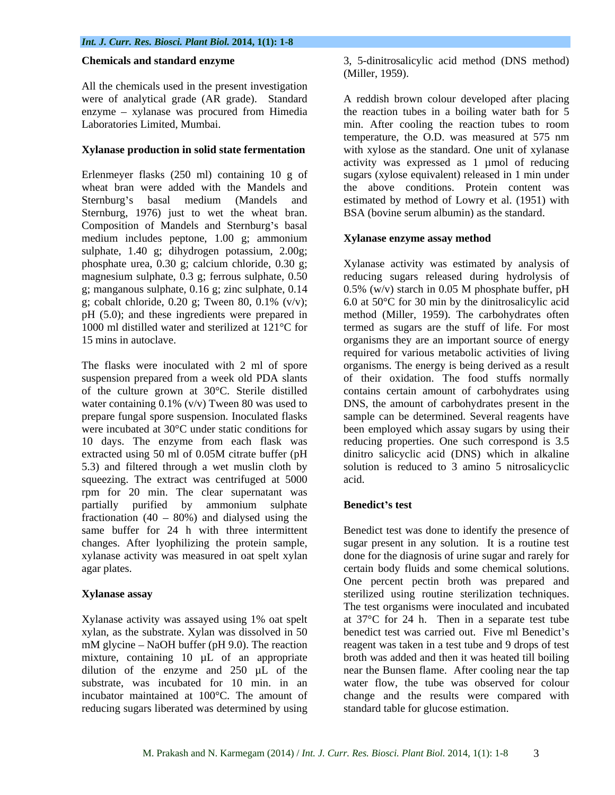All the chemicals used in the present investigation were of analytical grade (AR grade). Standard  $enzyme - xplanase was proceed from Himedia$ Laboratories Limited, Mumbai.

Sternburg, 1976) just to wet the wheat bran. Composition of Mandels and Sternburg's basal medium includes peptone, 1.00 g; ammonium sulphate, 1.40 g; dihydrogen potassium, 2.00g; phosphate urea, 0.30 g; calcium chloride, 0.30 g; Xylanase activity was estimated by analysis of magnesium sulphate, 0.3 g; ferrous sulphate, 0.50 reducing sugars released during hydrolysis of g; manganous sulphate,  $0.16$  g; zinc sulphate,  $0.14$   $0.5\%$  (w/v) starch in 0.05 M phosphate buffer, pH g; cobalt chloride, 0.20 g; Tween 80, 0.1% (v/v); 6.0 at 50°C for 30 min by the dinitrosalicylic acid pH (5.0); and these ingredients were prepared in method (Miller, 1959). The carbohydrates often 1000 ml distilled water and sterilized at 121<sup>°</sup>C for termed as sugars are the stuff of life. For most

The flasks were inoculated with 2 ml of spore organisms. The energy is being derived as a result suspension prepared from a week old PDA slants of their oxidation. The food stuffs normally of the culture grown at 30°C. Sterile distilled water containing 0.1% (v/v) Tween 80 was used to DNS, the amount of carbohydrates present in the prepare fungal spore suspension. Inoculated flasks sample can be determined. Several reagents have were incubated at 30°C under static conditions for been employed which assay sugars by using their 10 days. The enzyme from each flask was reducing properties. One such correspond is 3.5 extracted using 50 ml of 0.05M citrate buffer (pH dinitro salicyclic acid (DNS) which in alkaline 5.3) and filtered through a wet muslin cloth by solution is reduced to 3 amino 5 nitrosalicyclic squeezing. The extract was centrifuged at 5000 acid. rpm for 20 min. The clear supernatant was partially purified by ammonium sulphate **Benedict's test** fractionation  $(40 - 80%)$  and dialysed using the same buffer for 24 h with three intermittent Benedict test was done to identify the presence of changes. After lyophilizing the protein sample, sugar present in any solution. It is a routine test xylanase activity was measured in oat spelt xylan

Xylanase activity was assayed using 1% oat spelt at 37°C for 24 h. Then in a separate test tube xylan, as the substrate. Xylan was dissolved in 50 benedict test was carried out. Five ml Benedict's  $mM$  glycine – NaOH buffer (pH 9.0). The reaction mixture, containing 10  $\mu$ L of an appropriate broth was added and then it was heated till boiling dilution of the enzyme and 250 µL of the substrate, was incubated for 10 min. in an water flow, the tube was observed for colour incubator maintained at 100°C. The amount of reducing sugars liberated was determined by using

**Chemicals and standard enzyme** 3, 5-dinitrosalicylic acid method (DNS method) (Miller, 1959).

**Xylanase production in solid state fermentation** with xylose as the standard. One unit of xylanase Erlenmeyer flasks (250 ml) containing 10 g of sugars (xylose equivalent) released in 1 min under wheat bran were added with the Mandels and the above conditions. Protein content was Sternburg's basal medium (Mandels and estimated by method of Lowry et al. (1951) with A reddish brown colour developed after placing the reaction tubes in a boiling water bath for 5 min. After cooling the reaction tubes to room temperature, the O.D. was measured at 575 nm activity was expressed as 1 µmol of reducing BSA (bovine serum albumin) as the standard.

## **Xylanase enzyme assay method**

15 mins in autoclave. organisms they are an important source of energy 0.5% (w/v) starch in 0.05 M phosphate buffer, pH required for various metabolic activities of living contains certain amount of carbohydrates using dinitro salicyclic acid (DNS) which in alkaline acid.

## **Benedict s test**

agar plates. certain body fluids and some chemical solutions. **Xylanase assay** sterilized using routine sterilization techniques. done for the diagnosis of urine sugar and rarely for One percent pectin broth was prepared and The test organisms were inoculated and incubated at 37°C for 24 h. Then in a separate test tube reagent was taken in a test tube and 9 drops of test near the Bunsen flame. After cooling near the tap change and the results were compared with standard table for glucose estimation.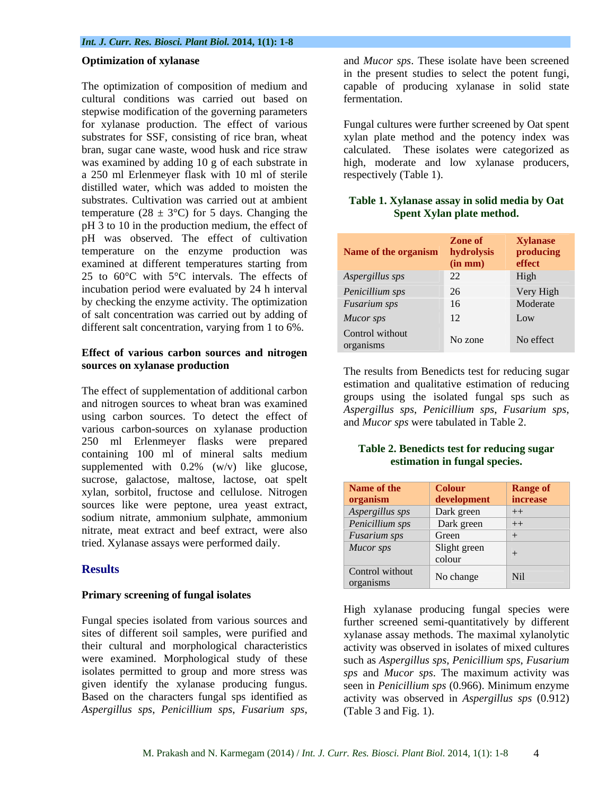The optimization of composition of medium and capable of producing xylanase in solid state cultural conditions was carried out based on stepwise modification of the governing parameters for xylanase production. The effect of various Fungal cultures were further screened by Oat spent substrates for SSF, consisting of rice bran, wheat xylan plate method and the potency index was bran, sugar cane waste, wood husk and rice straw calculated. These isolates were categorized as was examined by adding 10 g of each substrate in high, moderate and low xylanase producers, a 250 ml Erlenmeyer flask with 10 ml of sterile distilled water, which was added to moisten the substrates. Cultivation was carried out at ambient **Table 1. Xylanase assay in solid media by Oat**  temperature (28  $\pm$  3°C) for 5 days. Changing the pH 3 to 10 in the production medium, the effect of pH was observed. The effect of cultivation temperature on the enzyme production was examined at different temperatures starting from 25 to 60°C with 5°C intervals. The effects of incubation period were evaluated by 24 h interval by checking the enzyme activity. The optimization of salt concentration was carried out by adding of different salt concentration, varying from 1 to 6%.

## **Effect of various carbon sources and nitrogen sources on xylanase production**

The effect of supplementation of additional carbon and nitrogen sources to wheat bran was examined<br>Aspergillus sps, Penicillium sps, Fusarium sps, using carbon sources. To detect the effect of and *Mucor sps* were tabulated in Table 2. various carbon-sources on xylanase production 250 ml Erlenmeyer flasks were prepared containing 100 ml of mineral salts medium supplemented with 0.2% (w/v) like glucose, sucrose, galactose, maltose, lactose, oat spelt xylan, sorbitol, fructose and cellulose. Nitrogen sources like were peptone, urea yeast extract, sodium nitrate, ammonium sulphate, ammonium nitrate, meat extract and beef extract, were also tried. Xylanase assays were performed daily.

## **Primary screening of fungal isolates**

Fungal species isolated from various sources and further screened semi-quantitatively by different sites of different soil samples, were purified and xylanase assay methods. The maximal xylanolytic their cultural and morphological characteristics activity was observed in isolates of mixed cultures were examined. Morphological study of these such as *Aspergillus sps*, *Penicillium sps*, *Fusarium*  isolates permitted to group and more stress was *sps* and *Mucor sps*. The maximum activity was given identify the xylanase producing fungus. seen in *Penicillium sps* (0.966). Minimum enzyme Based on the characters fungal sps identified as activity was observed in *Aspergillus sps* (0.912) *Aspergillus sps*, *Penicillium sps*, *Fusarium sps*,

**Optimization of xylanase** and *Mucor sps*. These isolate have been screened in the present studies to select the potent fungi, fermentation.

respectively (Table 1).

# **Spent Xylan plate method.**

| Name of the organism hydrolysis | Zone of<br>$(in \, mm)$ | <b>Xylanase</b><br>producing<br>effect |
|---------------------------------|-------------------------|----------------------------------------|
| Aspergillus sps                 | 22                      | High                                   |
| Penicillium sps                 | 26                      | Very High                              |
| Fusarium sps                    | 16                      | Moderate                               |
| <b>Mucor</b> sps                | 12                      | Low                                    |
| Control without<br>organisms    | No zone                 | No effect                              |

The results from Benedicts test for reducing sugar estimation and qualitative estimation of reducing groups using the isolated fungal sps such as *Aspergillus sps*, *Penicillium sps*, *Fusarium sps*, and *Mucor sps* were tabulated in Table 2.

### **Table 2. Benedicts test for reducing sugar estimation in fungal species.**

| sucrose, galaciose, manose, laciose, oai spen     |                        |                      |                 |  |
|---------------------------------------------------|------------------------|----------------------|-----------------|--|
| xylan, sorbitol, fructose and cellulose. Nitrogen | Name of the            | <b>Colour</b>        | <b>Range of</b> |  |
| sources like were peptone, urea yeast extract,    | organism               | development increase |                 |  |
|                                                   | $\mid$ Aspergillus sps | Dark green           | $+$             |  |
| sodium nitrate, ammonium sulphate, ammonium       | Penicillium sps        | Dark green           | $+$             |  |
| nitrate, meat extract and beef extract, were also | <i>Fusarium sps</i>    | Green                |                 |  |
| tried. Xylanase assays were performed daily.      | Mucor sps              | Slight green         |                 |  |
|                                                   |                        | colour               |                 |  |
| <b>Results</b>                                    | Control without        |                      |                 |  |
|                                                   |                        | No change            | $\mid$ Nil      |  |
|                                                   |                        |                      |                 |  |

High xylanase producing fungal species were (Table 3 and Fig. 1).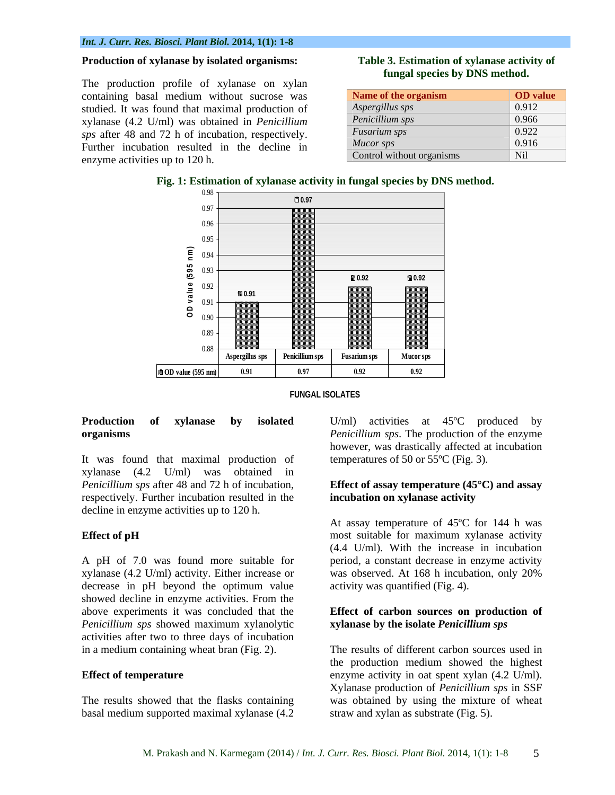The production profile of xylanase on xylan containing basal medium without sucrose was studied. It was found that maximal production of xylanase (4.2 U/ml) was obtained in *Penicillium sps* after 48 and 72 h of incubation, respectively. Further incubation resulted in the decline in enzyme activities up to 120 h.

## **Table 3. Estimation of xylanase activity of fungal species by DNS method.**

| Name of the organism      | <b>OD</b> value |
|---------------------------|-----------------|
| Aspergillus sps           | 0.912           |
| Penicillium sps           | 0.966           |
| Fusarium sps              | 0.922           |
| Mucor sps                 | 0.916           |
| Control without organisms |                 |

**Fig. 1: Estimation of xylanase activity in fungal species by DNS method.**





It was found that maximal production of xylanase (4.2 U/ml) was obtained in *Penicillium sps* after 48 and 72 h of incubation, **Effect of assay temperature (45°C) and assay**  respectively. Further incubation resulted in the decline in enzyme activities up to 120 h.

xylanase (4.2 U/ml) activity. Either increase or showed decline in enzyme activities. From the *Penicillium sps* showed maximum xylanolytic activities after two to three days of incubation

basal medium supported maximal xylanase (4.2

**Production of xylanase by isolated**  U/ml) activities at 45ºC produced by **organisms** *Penicillium sps*. The production of the enzyme however, was drastically affected at incubation temperatures of 50 or 55ºC (Fig. 3).

## **incubation on xylanase activity**

**Effect of pH** most suitable for maximum xylanase activity A pH of 7.0 was found more suitable for period, a constant decrease in enzyme activity decrease in pH beyond the optimum value activity was quantified (Fig. 4). At assay temperature of 45ºC for 144 h was (4.4 U/ml). With the increase in incubation was observed. At 168 h incubation, only 20% activity was quantified (Fig. 4).

## above experiments it was concluded that the **Effect of carbon sources on production of xylanase by the isolate** *Penicillium sps*

in a medium containing wheat bran (Fig. 2). The results of different carbon sources used in **Effect of temperature** enzyme activity in oat spent xylan (4.2 U/ml). The results showed that the flasks containing was obtained by using the mixture of wheat the production medium showed the highest Xylanase production of *Penicillium sps* in SSF straw and xylan as substrate (Fig. 5).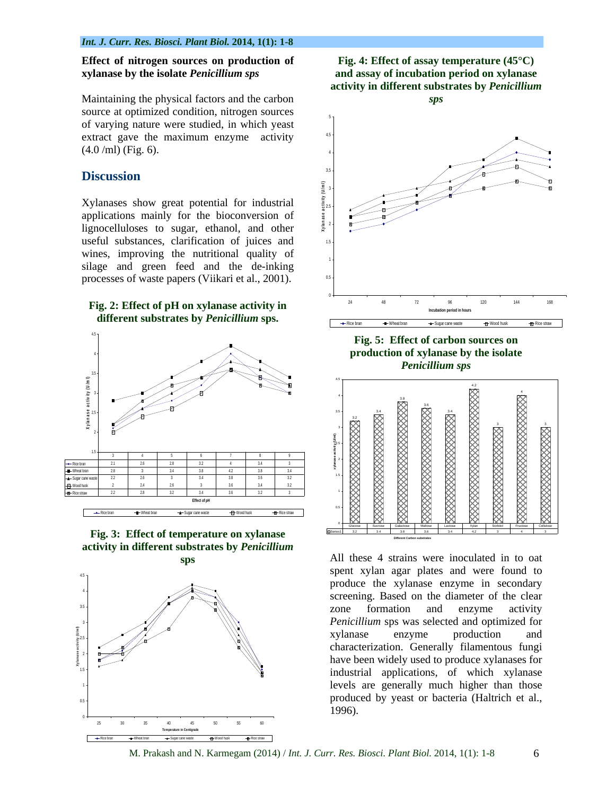Maintaining the physical factors and the carbon source at optimized condition, nitrogen sources of varying nature were studied, in which yeast extract gave the maximum enzyme activity  $(4.0 \text{ /ml})$  (Fig. 6).

Xylanases show great potential for industrial applications mainly for the bioconversion of lignocelluloses to sugar, ethanol, and other useful substances, clarification of juices and wines, improving the nutritional quality of silage and green feed and the de-inking processes of waste papers (Viikari et al., 2001).





**Fig. 3: Effect of temperature on xylanase activity in different substrates by** *Penicillium*







## **Fig. 5: Effect of carbon sources on**  *Penicillium sps*



**sps** All these 4 strains were inoculated in to oat spent xylan agar plates and were found to produce the xylanase enzyme in secondary screening. Based on the diameter of the clear zone formation and enzyme activity  $Penicillium$  sps was selected and optimized for xylanase enzyme production and characterization. Generally filamentous fungi have been widely used to produce xylanases for <sup>15</sup> industrial applications, of which xylanase 1<sup>1</sup>  $_{0.5}$ , produced by yeast or bacteria (Haltrich et al., 2 + 8 <del>// 8</del> /  $\sum_{\lambda \in \mathcal{L}} \mathcal{L} = \sum_{\lambda \in \mathcal{L}} \mathcal{L} = \sum_{\lambda \in \mathcal{L}} \mathcal{L} = \sum_{\lambda \in \mathcal{L}} \mathcal{L} = \sum_{\lambda \in \mathcal{L}} \mathcal{L} = \sum_{\lambda \in \mathcal{L}} \mathcal{L} = \sum_{\lambda \in \mathcal{L}} \mathcal{L} = \sum_{\lambda \in \mathcal{L}} \mathcal{L} = \sum_{\lambda \in \mathcal{L}} \mathcal{L} = \sum_{\lambda \in \mathcal{L}} \mathcal{L} = \sum_{\lambda \in \mathcal{L}} \mathcal{L} =$  $\frac{351}{100}$  //  $\frac{1}{100}$   $\frac{1}{100}$   $\frac{351}{100}$   $\frac{1}{100}$   $\frac{1}{100}$   $\frac{1}{100}$   $\frac{1}{100}$   $\frac{1}{100}$   $\frac{1}{100}$   $\frac{1}{100}$   $\frac{1}{100}$   $\frac{1}{100}$   $\frac{1}{100}$   $\frac{1}{100}$   $\frac{1}{100}$   $\frac{1}{100}$   $\frac{1}{100}$  $\mathbf{f}$  and  $\mathbf{f}$  are  $\mathbf{f}$  and  $\mathbf{f}$  are  $\mathbf{f}$  and  $\mathbf{f}$  are  $\mathbf{f}$  and  $\mathbf{f}$  are  $\mathbf{f}$  and  $\mathbf{f}$  are  $\mathbf{f}$  are  $\mathbf{f}$  and  $\mathbf{f}$  are  $\mathbf{f}$  and  $\mathbf{f}$  are  $\mathbf{f}$  and  $\mathbf{f}$  are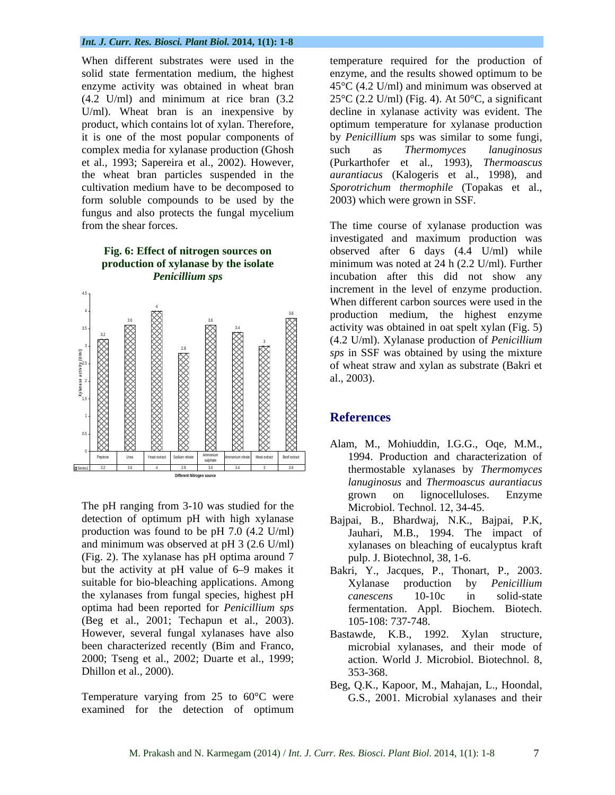solid state fermentation medium, the highest enzyme, and the results showed optimum to be complex media for xylanase production (Ghosh such as *Thermomyces lanuginosus* et al., 1993; Sapereira et al., 2002). However, the wheat bran particles suspended in the form soluble compounds to be used by the fungus and also protects the fungal mycelium



Matter of Patientian Control (42 U/m)<br>
M. Prakash and N. Karmegam (2014) / *Back and Sarmegam (2014)*<br>
M. Prakash and N. Karmegam (2014) *Back and Sarmegam (2014)*<br>
M. Prakash and N. Karmegam (2014) *Back and Sarmegam (20* The pH ranging from 3-10 was studied for the detection of optimum pH with high xylanase Bajpai, B., Bhardwaj, N.K., Bajpai, P.K, production was found to be pH 7.0 (4.2 U/ml) and minimum was observed at pH 3 (2.6 U/ml) xylanases on bleaching of eucalyptus kraft (Fig. 2). The xylanase has pH optima around 7 but the activity at pH value of 6–9 makes it Bakri, Y., Jacques, P., Thonart, P., 2003. suitable for bio-bleaching applications. Among <br>
Xylanase production by *Penicillium* the xylanases from fungal species, highest pH can escens 10-10c in solid-state optima had been reported for *Penicillium sps* (Beg et al., 2001; Techapun et al., 2003). However, several fungal xylanases have also Bastawde, K.B., 1992. Xylan structure, been characterized recently (Bim and Franco, 2000; Tseng et al., 2002; Duarte et al., 1999; Dhillon et al., 2000). 353-368.

Temperature varying from 25 to 60°C were examined for the detection of optimum

enzyme activity was obtained in wheat bran  $45^{\circ}C (4.2 U/ml)$  and minimum was observed at (4.2 U/ml) and minimum at rice bran  $(3.2 \t 25^{\circ}C (2.2 U/ml)$  (Fig. 4). At  $50^{\circ}C$ , a significant U/ml). Wheat bran is an inexpensive by decline in xylanase activity was evident. The product, which contains lot of xylan. Therefore, optimum temperature for xylanase production it is one of the most popular components of by *Penicillium* sps was similar to some fungi, cultivation medium have to be decomposed to *Sporotrichum thermophile* (Topakas et al., temperature required for the production of enzyme, and the results showed optimum to be such as *Thermomyces lanuginosus* (Purkarthofer et al., 1993), *Thermoascus aurantiacus* (Kalogeris et al., 1998), and 2003) which were grown in SSF.

3.6 4  $\frac{28}{52}$   $\frac{1}{28}$   $\frac{1}{28}$   $\frac{1}{28}$   $\frac{1}{28}$   $\frac{1}{28}$   $\frac{1}{28}$   $\frac{1}{28}$   $\frac{1}{28}$   $\frac{1}{28}$   $\frac{1}{28}$   $\frac{1}{28}$   $\frac{1}{28}$   $\frac{1}{28}$   $\frac{1}{28}$   $\frac{1}{28}$   $\frac{1}{28}$   $\frac{1}{28}$   $\frac{1}{28}$   $\frac{1}{28}$  зя в постановите на применения в совместении с применения в совмести в совмести с применения в совмести с совм<br>В совмести с применение с применение с применение с применение с применение с применение с применение с примен 3 (4.2 U/ml). Xylanase production of *Penicillium*  from the shear forces. The time course of xylanase production was **Fig. 6: Effect of nitrogen sources on**  observed after 6 days (4.4 U/ml) while **production of xylanase by the isolate**  minimum was noted at 24 h (2.2 U/ml). Further *Penicillium sps* incubation after this did not show any investigated and maximum production was increment in the level of enzyme production. When different carbon sources were used in the al., 2003).

## **References**

- Alam, M., Mohiuddin, I.G.G., Oqe, M.M., thermostable xylanases by *Thermomyces lanuginosus* and *Thermoascus aurantiacus* grown on lignocelluloses. Enzyme Microbiol. Technol. 12, 34-45.
- Jauhari, M.B., 1994. The impact of pulp. J. Biotechnol, 38, 1-6.
- Xylanase production by *Penicillium canescens* 10-10c in solid-state fermentation. Appl. Biochem. Biotech. 105-108: 737-748.
- microbial xylanases, and their mode of action. World J. Microbiol. Biotechnol. 8, 353-368.
- Beg, Q.K., Kapoor, M., Mahajan, L., Hoondal, G.S., 2001. Microbial xylanases and their